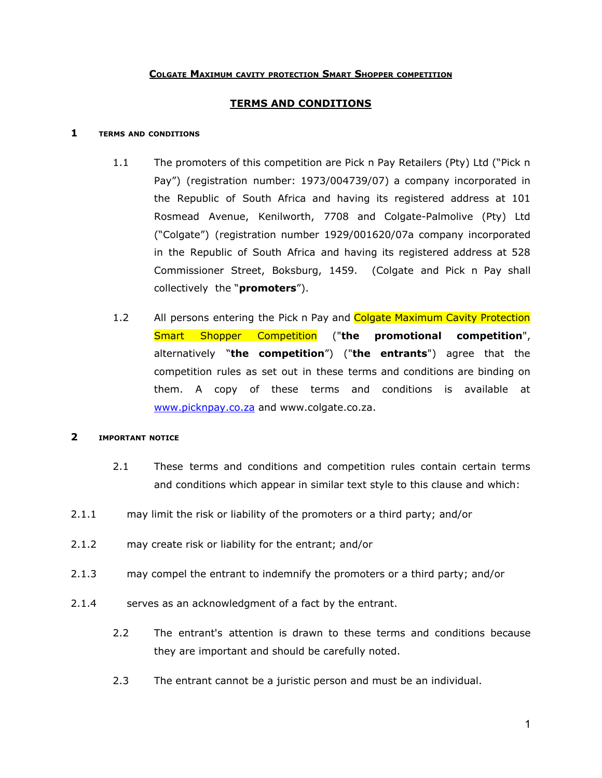### **COLGATE MAXIMUM CAVITY PROTECTION SMART SHOPPER COMPETITION**

# **TERMS AND CONDITIONS**

#### **1 TERMS AND CONDITIONS**

- 1.1 The promoters of this competition are Pick n Pay Retailers (Pty) Ltd ("Pick n Pay") (registration number: 1973/004739/07) a company incorporated in the Republic of South Africa and having its registered address at 101 Rosmead Avenue, Kenilworth, 7708 and Colgate-Palmolive (Pty) Ltd ("Colgate") (registration number 1929/001620/07a company incorporated in the Republic of South Africa and having its registered address at 528 Commissioner Street, Boksburg, 1459. (Colgate and Pick n Pay shall collectively the "**promoters**").
- 1.2 All persons entering the Pick n Pay and Colgate Maximum Cavity Protection Smart Shopper Competition ("**the promotional competition**", alternatively "**the competition**") ("**the entrants**") agree that the competition rules as set out in these terms and conditions are binding on them. A copy of these terms and conditions is available at [www.picknpay.co.za](http://www.picknpay.co.za) and www.colgate.co.za.

### **2 IMPORTANT NOTICE**

- 2.1 These terms and conditions and competition rules contain certain terms and conditions which appear in similar text style to this clause and which:
- 2.1.1 may limit the risk or liability of the promoters or a third party; and/or
- 2.1.2 may create risk or liability for the entrant; and/or
- 2.1.3 may compel the entrant to indemnify the promoters or a third party; and/or
- 2.1.4 serves as an acknowledgment of a fact by the entrant.
	- 2.2 The entrant's attention is drawn to these terms and conditions because they are important and should be carefully noted.
	- 2.3 The entrant cannot be a juristic person and must be an individual.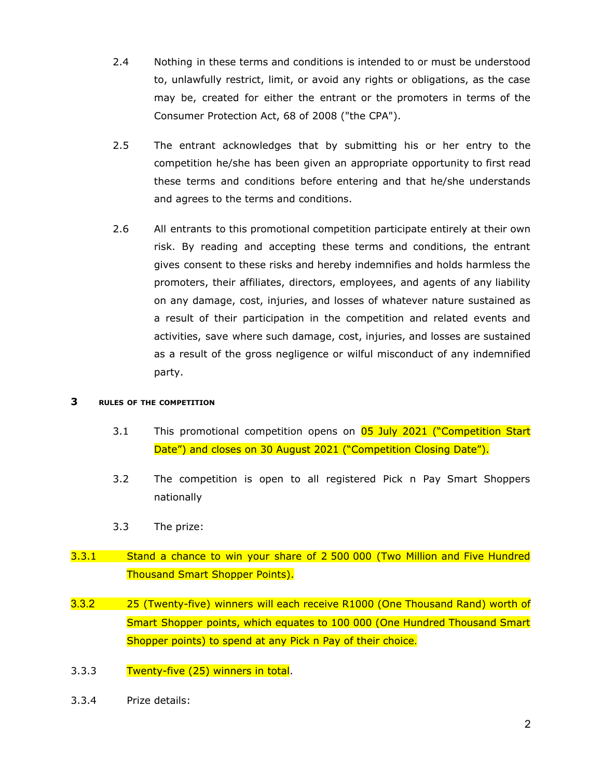- 2.4 Nothing in these terms and conditions is intended to or must be understood to, unlawfully restrict, limit, or avoid any rights or obligations, as the case may be, created for either the entrant or the promoters in terms of the Consumer Protection Act, 68 of 2008 ("the CPA").
- 2.5 The entrant acknowledges that by submitting his or her entry to the competition he/she has been given an appropriate opportunity to first read these terms and conditions before entering and that he/she understands and agrees to the terms and conditions.
- 2.6 All entrants to this promotional competition participate entirely at their own risk. By reading and accepting these terms and conditions, the entrant gives consent to these risks and hereby indemnifies and holds harmless the promoters, their affiliates, directors, employees, and agents of any liability on any damage, cost, injuries, and losses of whatever nature sustained as a result of their participation in the competition and related events and activities, save where such damage, cost, injuries, and losses are sustained as a result of the gross negligence or wilful misconduct of any indemnified party.

#### **3 RULES OF THE COMPETITION**

- 3.1 This promotional competition opens on 05 July 2021 ("Competition Start Date") and closes on 30 August 2021 ("Competition Closing Date").
- 3.2 The competition is open to all registered Pick n Pay Smart Shoppers nationally
- 3.3 The prize:
- 3.3.1 Stand a chance to win your share of 2 500 000 (Two Million and Five Hundred Thousand Smart Shopper Points).
- 3.3.2 25 (Twenty-five) winners will each receive R1000 (One Thousand Rand) worth of Smart Shopper points, which equates to 100 000 (One Hundred Thousand Smart Shopper points) to spend at any Pick n Pay of their choice.
- 3.3.3 Twenty-five (25) winners in total.
- 3.3.4 Prize details: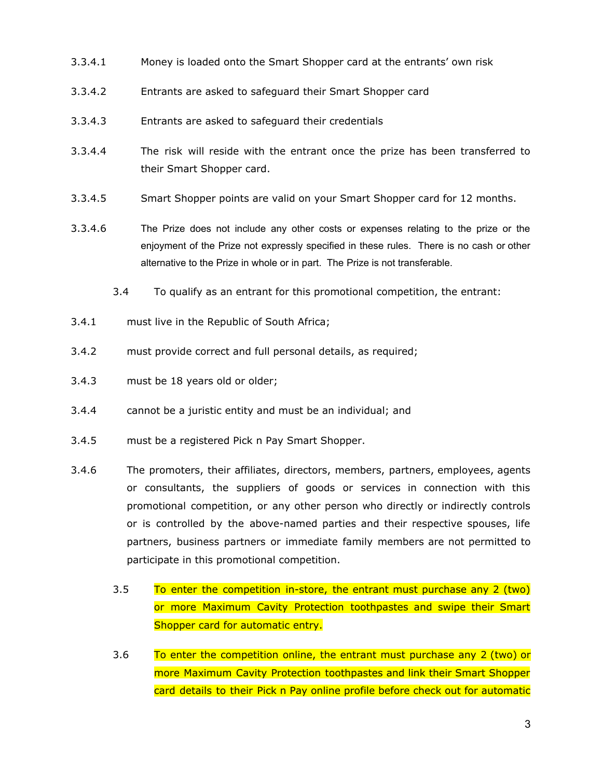- 3.3.4.1 Money is loaded onto the Smart Shopper card at the entrants' own risk
- 3.3.4.2 Entrants are asked to safeguard their Smart Shopper card
- 3.3.4.3 Entrants are asked to safeguard their credentials
- 3.3.4.4 The risk will reside with the entrant once the prize has been transferred to their Smart Shopper card.
- 3.3.4.5 Smart Shopper points are valid on your Smart Shopper card for 12 months.
- 3.3.4.6 The Prize does not include any other costs or expenses relating to the prize or the enjoyment of the Prize not expressly specified in these rules. There is no cash or other alternative to the Prize in whole or in part. The Prize is not transferable.
	- 3.4 To qualify as an entrant for this promotional competition, the entrant:
- 3.4.1 must live in the Republic of South Africa;
- 3.4.2 must provide correct and full personal details, as required;
- 3.4.3 must be 18 years old or older;
- 3.4.4 cannot be a juristic entity and must be an individual; and
- 3.4.5 must be a registered Pick n Pay Smart Shopper.
- 3.4.6 The promoters, their affiliates, directors, members, partners, employees, agents or consultants, the suppliers of goods or services in connection with this promotional competition, or any other person who directly or indirectly controls or is controlled by the above-named parties and their respective spouses, life partners, business partners or immediate family members are not permitted to participate in this promotional competition.
	- 3.5 To enter the competition in-store, the entrant must purchase any 2 (two) or more Maximum Cavity Protection toothpastes and swipe their Smart Shopper card for automatic entry.
	- 3.6 To enter the competition online, the entrant must purchase any 2 (two) or more Maximum Cavity Protection toothpastes and link their Smart Shopper card details to their Pick n Pay online profile before check out for automatic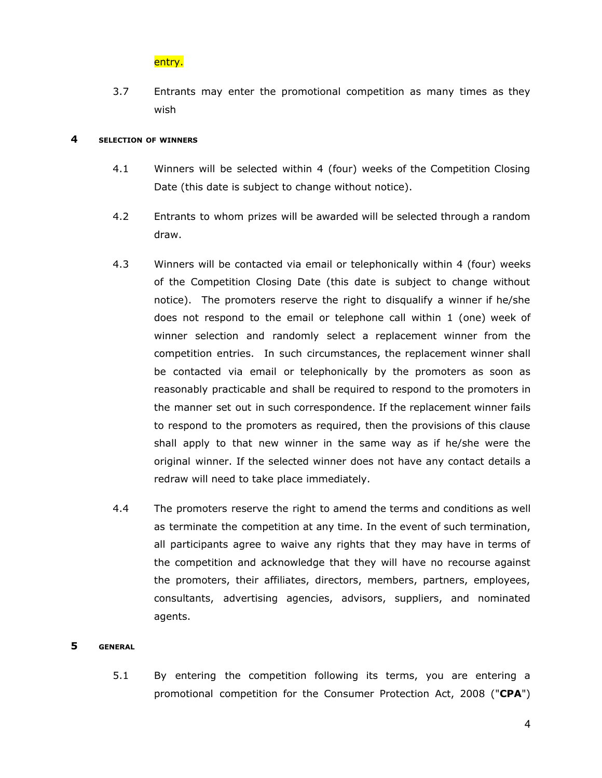# entry.

3.7 Entrants may enter the promotional competition as many times as they wish

#### **4 SELECTION OF WINNERS**

- 4.1 Winners will be selected within 4 (four) weeks of the Competition Closing Date (this date is subject to change without notice).
- 4.2 Entrants to whom prizes will be awarded will be selected through a random draw.
- 4.3 Winners will be contacted via email or telephonically within 4 (four) weeks of the Competition Closing Date (this date is subject to change without notice). The promoters reserve the right to disqualify a winner if he/she does not respond to the email or telephone call within 1 (one) week of winner selection and randomly select a replacement winner from the competition entries. In such circumstances, the replacement winner shall be contacted via email or telephonically by the promoters as soon as reasonably practicable and shall be required to respond to the promoters in the manner set out in such correspondence. If the replacement winner fails to respond to the promoters as required, then the provisions of this clause shall apply to that new winner in the same way as if he/she were the original winner. If the selected winner does not have any contact details a redraw will need to take place immediately.
- 4.4 The promoters reserve the right to amend the terms and conditions as well as terminate the competition at any time. In the event of such termination, all participants agree to waive any rights that they may have in terms of the competition and acknowledge that they will have no recourse against the promoters, their affiliates, directors, members, partners, employees, consultants, advertising agencies, advisors, suppliers, and nominated agents.

#### **5 GENERAL**

5.1 By entering the competition following its terms, you are entering a promotional competition for the Consumer Protection Act, 2008 ("**CPA**")